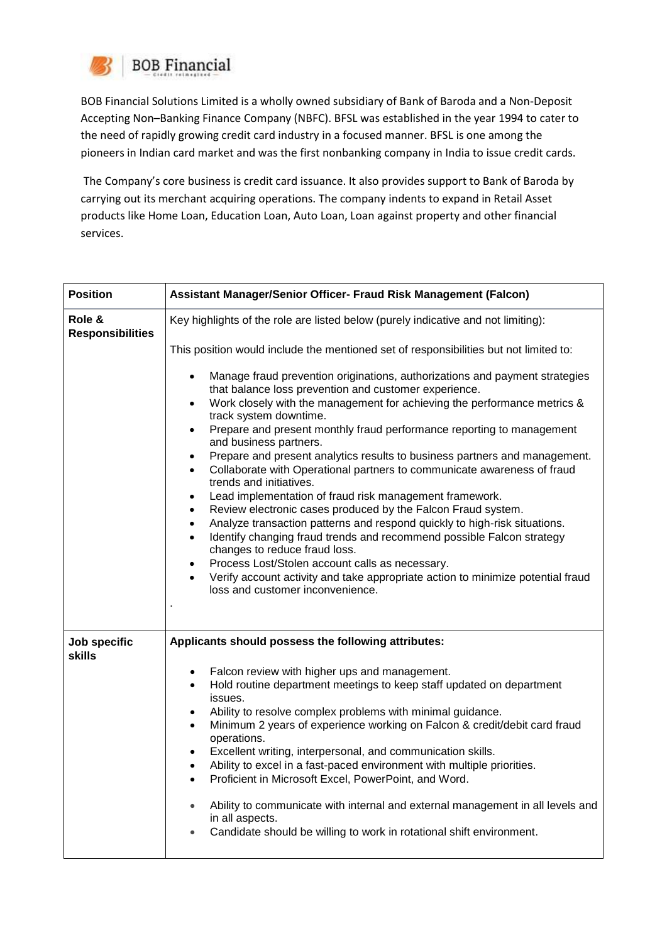

BOB Financial Solutions Limited is a wholly owned subsidiary of Bank of Baroda and a Non-Deposit Accepting Non–Banking Finance Company (NBFC). BFSL was established in the year 1994 to cater to the need of rapidly growing credit card industry in a focused manner. BFSL is one among the pioneers in Indian card market and was the first nonbanking company in India to issue credit cards.

The Company's core business is credit card issuance. It also provides support to Bank of Baroda by carrying out its merchant acquiring operations. The company indents to expand in Retail Asset products like Home Loan, Education Loan, Auto Loan, Loan against property and other financial services.

| <b>Position</b>                   | Assistant Manager/Senior Officer- Fraud Risk Management (Falcon)                                                                                                                                                                                                                                                                                                                                                                                                                                                                                                                                                                                                                                                                                                                                                                                                                                                                                                                                                                                                                                                                                   |
|-----------------------------------|----------------------------------------------------------------------------------------------------------------------------------------------------------------------------------------------------------------------------------------------------------------------------------------------------------------------------------------------------------------------------------------------------------------------------------------------------------------------------------------------------------------------------------------------------------------------------------------------------------------------------------------------------------------------------------------------------------------------------------------------------------------------------------------------------------------------------------------------------------------------------------------------------------------------------------------------------------------------------------------------------------------------------------------------------------------------------------------------------------------------------------------------------|
| Role &<br><b>Responsibilities</b> | Key highlights of the role are listed below (purely indicative and not limiting):                                                                                                                                                                                                                                                                                                                                                                                                                                                                                                                                                                                                                                                                                                                                                                                                                                                                                                                                                                                                                                                                  |
|                                   | This position would include the mentioned set of responsibilities but not limited to:                                                                                                                                                                                                                                                                                                                                                                                                                                                                                                                                                                                                                                                                                                                                                                                                                                                                                                                                                                                                                                                              |
|                                   | Manage fraud prevention originations, authorizations and payment strategies<br>$\bullet$<br>that balance loss prevention and customer experience.<br>Work closely with the management for achieving the performance metrics &<br>track system downtime.<br>Prepare and present monthly fraud performance reporting to management<br>$\bullet$<br>and business partners.<br>Prepare and present analytics results to business partners and management.<br>$\bullet$<br>Collaborate with Operational partners to communicate awareness of fraud<br>$\bullet$<br>trends and initiatives.<br>Lead implementation of fraud risk management framework.<br>$\bullet$<br>Review electronic cases produced by the Falcon Fraud system.<br>$\bullet$<br>Analyze transaction patterns and respond quickly to high-risk situations.<br>$\bullet$<br>Identify changing fraud trends and recommend possible Falcon strategy<br>$\bullet$<br>changes to reduce fraud loss.<br>Process Lost/Stolen account calls as necessary.<br>$\bullet$<br>Verify account activity and take appropriate action to minimize potential fraud<br>loss and customer inconvenience. |
| Job specific<br><b>skills</b>     | Applicants should possess the following attributes:                                                                                                                                                                                                                                                                                                                                                                                                                                                                                                                                                                                                                                                                                                                                                                                                                                                                                                                                                                                                                                                                                                |
|                                   | Falcon review with higher ups and management.<br>$\bullet$<br>Hold routine department meetings to keep staff updated on department<br>$\bullet$<br>issues.<br>Ability to resolve complex problems with minimal guidance.<br>$\bullet$<br>Minimum 2 years of experience working on Falcon & credit/debit card fraud<br>operations.<br>Excellent writing, interpersonal, and communication skills.<br>$\bullet$<br>Ability to excel in a fast-paced environment with multiple priorities.<br>Proficient in Microsoft Excel, PowerPoint, and Word.<br>$\bullet$<br>Ability to communicate with internal and external management in all levels and<br>$\bullet$<br>in all aspects.<br>Candidate should be willing to work in rotational shift environment.                                                                                                                                                                                                                                                                                                                                                                                             |